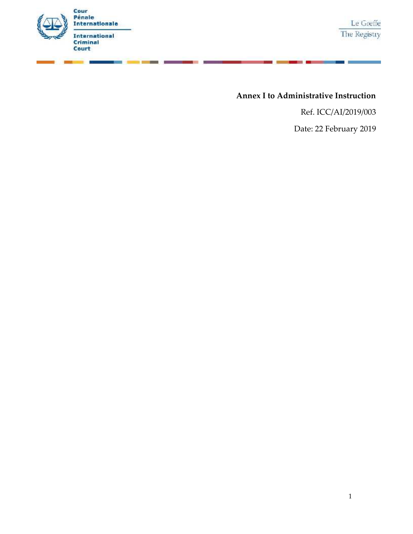

s.

# **Annex I to Administrative Instruction**

Ref. ICC/AI/2019/003

Date: 22 February 2019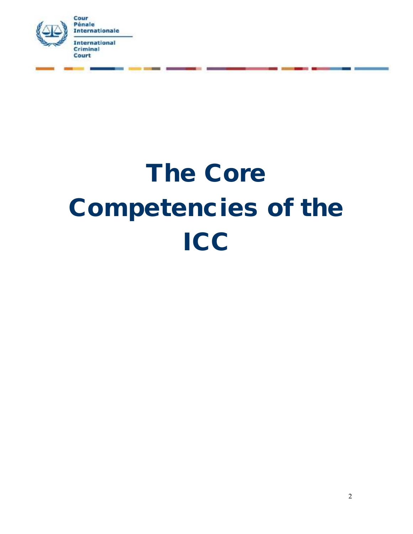

# **The Core Competencies of the ICC**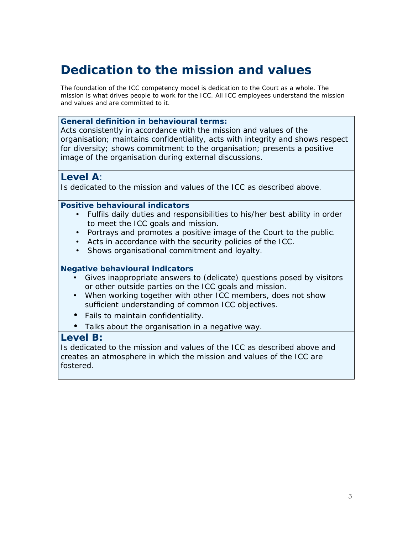# **Dedication to the mission and values**

*The foundation of the ICC competency model is dedication to the Court as a whole. The mission is what drives people to work for the ICC. All ICC employees understand the mission and values and are committed to it.*

*General definition in behavioural terms:*

Acts consistently in accordance with the mission and values of the organisation; maintains confidentiality, acts with integrity and shows respect for diversity; shows commitment to the organisation; presents a positive image of the organisation during external discussions.

*Level A:*

Is dedicated to the mission and values of the ICC as described above.

*Positive behavioural indicators*

- Fulfils daily duties and responsibilities to his/her best ability in order to meet the ICC goals and mission.
- Portrays and promotes a positive image of the Court to the public.
	- Acts in accordance with the security policies of the ICC.
	- Shows organisational commitment and loyalty.

#### *Negative behavioural indicators*

- Gives inappropriate answers to (delicate) questions posed by visitors or other outside parties on the ICC goals and mission.
- When working together with other ICC members, does not show sufficient understanding of common ICC objectives.

Fails to maintain confidentiality.

Talks about the organisation in a negative way.

#### *Level B:*

Is dedicated to the mission and values of the ICC as described above and creates an atmosphere in which the mission and values of the ICC are fostered.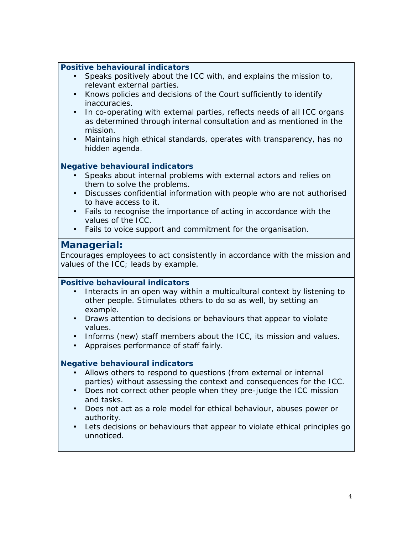| Positive behavioural indicators                                                                                                            |
|--------------------------------------------------------------------------------------------------------------------------------------------|
|                                                                                                                                            |
| Speaks positively about the ICC with, and explains the mission to,                                                                         |
| relevant external parties.<br>Knows policies and decisions of the Court sufficiently to identify                                           |
| inaccuracies.                                                                                                                              |
| In co-operating with external parties, reflects needs of all ICC organs                                                                    |
| as determined through internal consultation and as mentioned in the<br>mission.                                                            |
| Maintains high ethical standards, operates with transparency, has no                                                                       |
| hidden agenda.                                                                                                                             |
| Negative behavioural indicators                                                                                                            |
| Speaks about internal problems with external actors and relies on                                                                          |
| them to solve the problems.                                                                                                                |
| Discusses confidential information with people who are not authorised                                                                      |
| to have access to it.<br>Fails to recognise the importance of acting in accordance with the                                                |
| values of the ICC.                                                                                                                         |
| Fails to voice support and commitment for the organisation.                                                                                |
| Managerial:                                                                                                                                |
| Encourages employees to act consistently in accordance with the mission and                                                                |
| values of the ICC; leads by example.                                                                                                       |
|                                                                                                                                            |
|                                                                                                                                            |
| Positive behavioural indicators                                                                                                            |
| Interacts in an open way within a multicultural context by listening to<br>other people. Stimulates others to do so as well, by setting an |
| example.                                                                                                                                   |
| Draws attention to decisions or behaviours that appear to violate<br>values.                                                               |
| Informs (new) staff members about the ICC, its mission and values.                                                                         |
| Appraises performance of staff fairly.                                                                                                     |
|                                                                                                                                            |
| Negative behavioural indicators<br>Allows others to respond to questions (from external or internal                                        |
| parties) without assessing the context and consequences for the ICC.                                                                       |
| Does not correct other people when they pre-judge the ICC mission                                                                          |
| and tasks.                                                                                                                                 |
| Does not act as a role model for ethical behaviour, abuses power or<br>authority.                                                          |
| Lets decisions or behaviours that appear to violate ethical principles go                                                                  |
| unnoticed.                                                                                                                                 |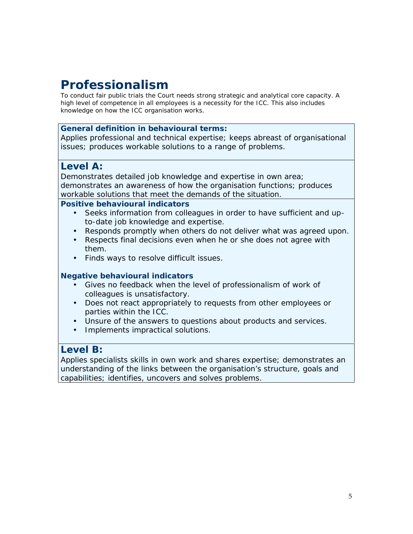# **Professionalism**

*To conduct fair public trials the Court needs strong strategic and analytical core capacity. A high level of competence in all employees is a necessity for the ICC. This also includes knowledge on how the ICC organisation works.*

#### *General definition in behavioural terms:*

Applies professional and technical expertise; keeps abreast of organisational issues; produces workable solutions to a range of problems.

## *Level A:*

Demonstrates detailed job knowledge and expertise in own area; demonstrates an awareness of how the organisation functions; produces workable solutions that meet the demands of the situation.

*Positive behavioural indicators*

- Seeks information from colleagues in order to have sufficient and upto-date job knowledge and expertise.
- Responds promptly when others do not deliver what was agreed upon.
- Respects final decisions even when he or she does not agree with them.
- Finds ways to resolve difficult issues.

#### *Negative behavioural indicators*

- Gives no feedback when the level of professionalism of work of colleagues is unsatisfactory.
- Does not react appropriately to requests from other employees or parties within the ICC.
	- Unsure of the answers to questions about products and services.
- Implements impractical solutions.

## *Level B:*

Applies specialists skills in own work and shares expertise; demonstrates an understanding of the links between the organisation's structure, goals and capabilities; identifies, uncovers and solves problems.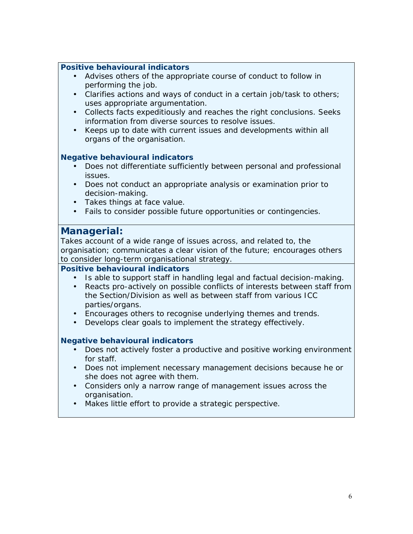- Advises others of the appropriate course of conduct to follow in performing the job.
- Clarifies actions and ways of conduct in a certain job/task to others; uses appropriate argumentation.
- Collects facts expeditiously and reaches the right conclusions. Seeks information from diverse sources to resolve issues.
- Keeps up to date with current issues and developments within all organs of the organisation.

#### *Negative behavioural indicators*

- Does not differentiate sufficiently between personal and professional issues.
- Does not conduct an appropriate analysis or examination prior to decision-making.
- Takes things at face value.
- Fails to consider possible future opportunities or contingencies.

## *Managerial:*

Takes account of a wide range of issues across, and related to, the organisation; communicates a clear vision of the future; encourages others to consider long-term organisational strategy.

#### *Positive behavioural indicators*

- Is able to support staff in handling legal and factual decision-making.
- Reacts pro-actively on possible conflicts of interests between staff from the Section/Division as well as between staff from various ICC parties/organs.
- Encourages others to recognise underlying themes and trends.
- Develops clear goals to implement the strategy effectively.

- Does not actively foster a productive and positive working environment for staff.
- Does not implement necessary management decisions because he or she does not agree with them.
- Considers only a narrow range of management issues across the organisation.
- Makes little effort to provide a strategic perspective.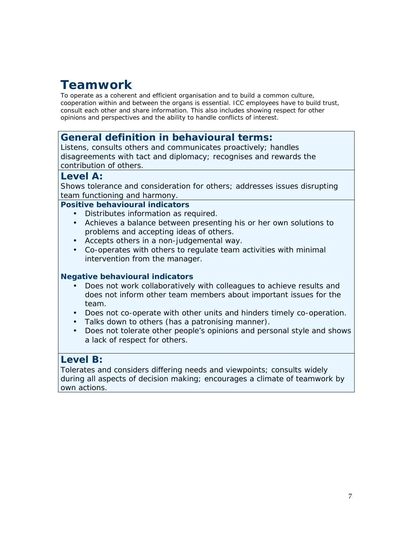# **Teamwork**

*To operate as a coherent and efficient organisation and to build a common culture, cooperation within and between the organs is essential. ICC employees have to build trust, consult each other and share information. This also includes showing respect for other opinions and perspectives and the ability to handle conflicts of interest.*

## *General definition in behavioural terms:*

Listens, consults others and communicates proactively; handles disagreements with tact and diplomacy; recognises and rewards the contribution of others.

#### *Level A:*

Shows tolerance and consideration for others; addresses issues disrupting team functioning and harmony.

*Positive behavioural indicators*

- Distributes information as required.
- Achieves a balance between presenting his or her own solutions to problems and accepting ideas of others.
- Accepts others in a non-judgemental way.
- Co-operates with others to regulate team activities with minimal intervention from the manager.

#### *Negative behavioural indicators*

- Does not work collaboratively with colleagues to achieve results and does not inform other team members about important issues for the team.
- Does not co-operate with other units and hinders timely co-operation.
- Talks down to others (has a patronising manner).
- Does not tolerate other people's opinions and personal style and shows a lack of respect for others.

## *Level B:*

Tolerates and considers differing needs and viewpoints; consults widely during all aspects of decision making; encourages a climate of teamwork by own actions.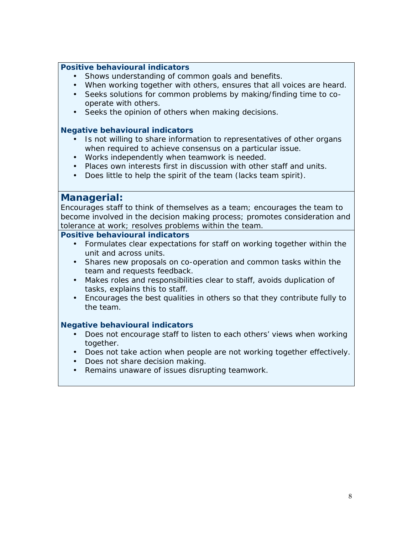Shows understanding of common goals and benefits.

When working together with others, ensures that all voices are heard.

- Seeks solutions for common problems by making/finding time to co operate with others.
- Seeks the opinion of others when making decisions.

#### *Negative behavioural indicators*

- Is not willing to share information to representatives of other organs when required to achieve consensus on a particular issue.
- Works independently when teamwork is needed.
- Places own interests first in discussion with other staff and units.
- Does little to help the spirit of the team (lacks team spirit).

#### *Managerial:*

Encourages staff to think of themselves as a team; encourages the team to become involved in the decision making process; promotes consideration and tolerance at work; resolves problems within the team.

#### *Positive behavioural indicators*

- Formulates clear expectations for staff on working together within the unit and across units.
- Shares new proposals on co-operation and common tasks within the team and requests feedback.
- Makes roles and responsibilities clear to staff, avoids duplication of tasks, explains this to staff.
- Encourages the best qualities in others so that they contribute fully to the team.

- Does not encourage staff to listen to each others' views when working together.
- Does not take action when people are not working together effectively. Does not share decision making.
- Remains unaware of issues disrupting teamwork.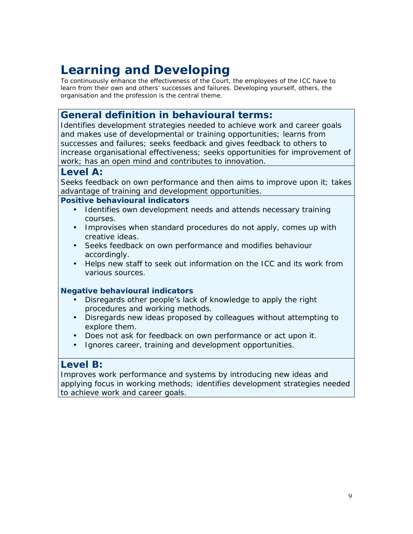# **Learning and Developing**

*To continuously enhance the effectiveness of the Court, the employees of the ICC have to learn from their own and others' successes and failures. Developing yourself, others, the organisation and the profession is the central theme.*

# *General definition in behavioural terms:*

Identifies development strategies needed to achieve work and career goals and makes use of developmental or training opportunities; learns from successes and failures; seeks feedback and gives feedback to others to increase organisational effectiveness; seeks opportunities for improvement of work; has an open mind and contributes to innovation.

#### *Level A:*

Seeks feedback on own performance and then aims to improve upon it; takes advantage of training and development opportunities.

#### *Positive behavioural indicators*

- Identifies own development needs and attends necessary training courses.
- Improvises when standard procedures do not apply, comes up with creative ideas.
- Seeks feedback on own performance and modifies behaviour accordingly.
- Helps new staff to seek out information on the ICC and its work from various sources.

#### *Negative behavioural indicators*

- Disregards other people's lack of knowledge to apply the right procedures and working methods.
- Disregards new ideas proposed by colleagues without attempting to explore them.
- Does not ask for feedback on own performance or act upon it.
- I Ignores career, training and development opportunities.

## *Level B:*

Improves work performance and systems by introducing new ideas and applying focus in working methods; identifies development strategies needed to achieve work and career goals.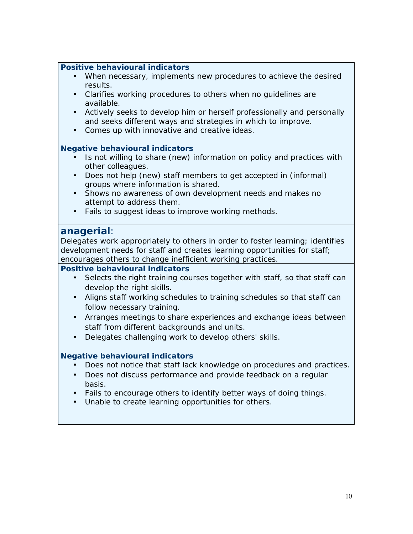- When necessary, implements new procedures to achieve the desired results.
- Clarifies working procedures to others when no guidelines are available.
- Actively seeks to develop him or herself professionally and personally and seeks different ways and strategies in which to improve.
- Comes up with innovative and creative ideas.

#### *Negative behavioural indicators*

- Is not willing to share (new) information on policy and practices with other colleagues.
- Does not help (new) staff members to get accepted in (informal) groups where information is shared.
- Shows no awareness of own development needs and makes no attempt to address them.
- Fails to suggest ideas to improve working methods.

#### *anagerial:*

Delegates work appropriately to others in order to foster learning; identifies development needs for staff and creates learning opportunities for staff; encourages others to change inefficient working practices.

#### *Positive behavioural indicators*

- Selects the right training courses together with staff, so that staff can develop the right skills.
- Aligns staff working schedules to training schedules so that staff can follow necessary training.
- Arranges meetings to share experiences and exchange ideas between staff from different backgrounds and units.
- ) Delegates challenging work to develop others' skills.

- Does not notice that staff lack knowledge on procedures and practices.
- Does not discuss performance and provide feedback on a regular basis.
	- Fails to encourage others to identify better ways of doing things.
- Unable to create learning opportunities for others.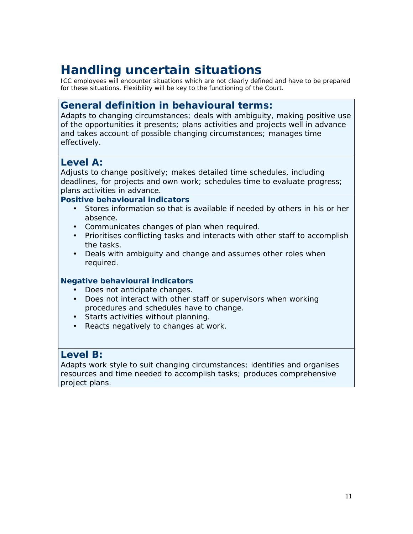# *Handling uncertain situations*

*ICC employees will encounter situations which are not clearly defined and have to be prepared for these situations. Flexibility will be key to the functioning of the Court.*

# *General definition in behavioural terms:*

Adapts to changing circumstances; deals with ambiguity, making positive use of the opportunities it presents; plans activities and projects well in advance and takes account of possible changing circumstances; manages time effectively.

# *Level A:*

Adjusts to change positively; makes detailed time schedules, including deadlines, for projects and own work; schedules time to evaluate progress; plans activities in advance.

*Positive behavioural indicators*

- Stores information so that is available if needed by others in his or her absence.
- Communicates changes of plan when required.
- Prioritises conflicting tasks and interacts with other staff to accomplish the tasks.
- Deals with ambiguity and change and assumes other roles when required.

#### *Negative behavioural indicators*

- Does not anticipate changes.
- Does not interact with other staff or supervisors when working procedures and schedules have to change.
- Starts activities without planning.
- Reacts negatively to changes at work.

## *Level B:*

Adapts work style to suit changing circumstances; identifies and organises resources and time needed to accomplish tasks; produces comprehensive project plans.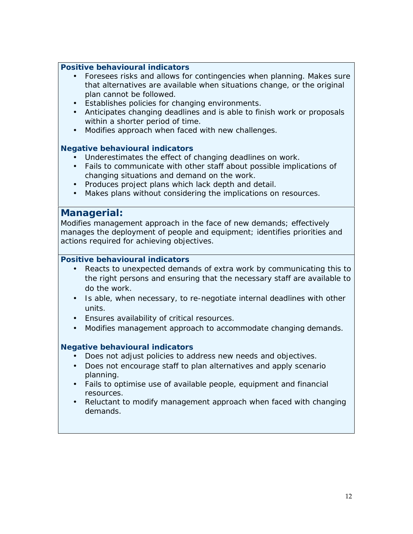- Foresees risks and allows for contingencies when planning. Makes sure that alternatives are available when situations change, or the original plan cannot be followed.
- Establishes policies for changing environments.
- Anticipates changing deadlines and is able to finish work or proposals within a shorter period of time.
- Modifies approach when faced with new challenges.

#### *Negative behavioural indicators*

- Underestimates the effect of changing deadlines on work.
- Fails to communicate with other staff about possible implications of changing situations and demand on the work.
- Produces project plans which lack depth and detail.
- Makes plans without considering the implications on resources.

#### *Managerial:*

Modifies management approach in the face of new demands; effectively manages the deployment of people and equipment; identifies priorities and actions required for achieving objectives.

#### *Positive behavioural indicators*

- Reacts to unexpected demands of extra work by communicating this to the right persons and ensuring that the necessary staff are available to do the work.
- Is able, when necessary, to re-negotiate internal deadlines with other units.
- Ensures availability of critical resources.
- Modifies management approach to accommodate changing demands.

- Does not adjust policies to address new needs and objectives.
- Does not encourage staff to plan alternatives and apply scenario planning.
- Fails to optimise use of available people, equipment and financial resources.
- Reluctant to modify management approach when faced with changing demands.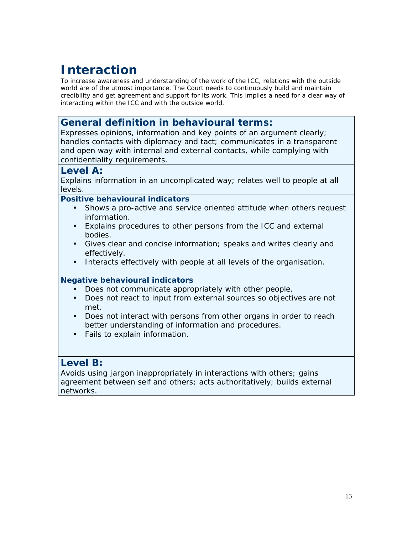# **Interaction**

*To increase awareness and understanding of the work of the ICC, relations with the outside world are of the utmost importance. The Court needs to continuously build and maintain credibility and get agreement and support for its work. This implies a need for a clear way of interacting within the ICC and with the outside world.*

# *General definition in behavioural terms:*

Expresses opinions, information and key points of an argument clearly; handles contacts with diplomacy and tact; communicates in a transparent and open way with internal and external contacts, while complying with confidentiality requirements.

#### *Level A:*

Explains information in an uncomplicated way; relates well to people at all levels.

*Positive behavioural indicators*

- Shows a pro-active and service oriented attitude when others request information.
- Explains procedures to other persons from the ICC and external bodies.
- Gives clear and concise information; speaks and writes clearly and effectively.
- I Interacts effectively with people at all levels of the organisation.

#### *Negative behavioural indicators*

- Does not communicate appropriately with other people.
- Does not react to input from external sources so objectives are not met.
- Does not interact with persons from other organs in order to reach better understanding of information and procedures.
- Fails to explain information.

## *Level B:*

Avoids using jargon inappropriately in interactions with others; gains agreement between self and others; acts authoritatively; builds external networks.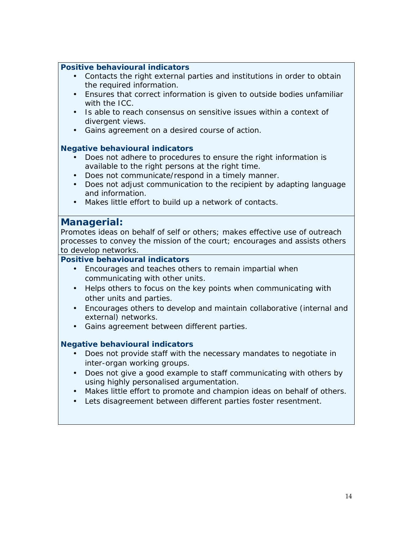- Contacts the right external parties and institutions in order to obtain the required information.
- Ensures that correct information is given to outside bodies unfamiliar with the ICC.
- Is able to reach consensus on sensitive issues within a context of divergent views.
- Gains agreement on a desired course of action.

#### *Negative behavioural indicators*

- Does not adhere to procedures to ensure the right information is available to the right persons at the right time.
- Does not communicate/respond in a timely manner.
- Does not adjust communication to the recipient by adapting language and information.
- Makes little effort to build up a network of contacts.

#### *Managerial:*

Promotes ideas on behalf of self or others; makes effective use of outreach processes to convey the mission of the court; encourages and assists others to develop networks.

*Positive behavioural indicators*

- Encourages and teaches others to remain impartial when communicating with other units.
- Helps others to focus on the key points when communicating with other units and parties.
- Encourages others to develop and maintain collaborative (internal and external) networks.
- Gains agreement between different parties.

- Does not provide staff with the necessary mandates to negotiate in inter-organ working groups.
- Does not give a good example to staff communicating with others by using highly personalised argumentation.
- Makes little effort to promote and champion ideas on behalf of others.
- Lets disagreement between different parties foster resentment.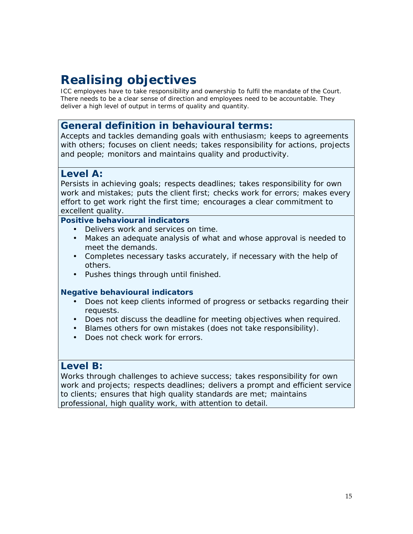# **Realising objectives**

*ICC employees have to take responsibility and ownership to fulfil the mandate of the Court. There needs to be a clear sense of direction and employees need to be accountable. They deliver a high level of output in terms of quality and quantity.*

# *General definition in behavioural terms:*

Accepts and tackles demanding goals with enthusiasm; keeps to agreements with others; focuses on client needs; takes responsibility for actions, projects and people; monitors and maintains quality and productivity.

# *Level A:*

Persists in achieving goals; respects deadlines; takes responsibility for own work and mistakes; puts the client first; checks work for errors; makes every effort to get work right the first time; encourages a clear commitment to excellent quality.

*Positive behavioural indicators*

- Delivers work and services on time.
- Makes an adequate analysis of what and whose approval is needed to meet the demands.
- Completes necessary tasks accurately, if necessary with the help of others.
- Pushes things through until finished.

#### *Negative behavioural indicators*

- Does not keep clients informed of progress or setbacks regarding their requests.
- Does not discuss the deadline for meeting objectives when required.
- Blames others for own mistakes (does not take responsibility).
- Does not check work for errors.

#### *Level B:*

Works through challenges to achieve success; takes responsibility for own work and projects; respects deadlines; delivers a prompt and efficient service to clients; ensures that high quality standards are met; maintains professional, high quality work, with attention to detail.